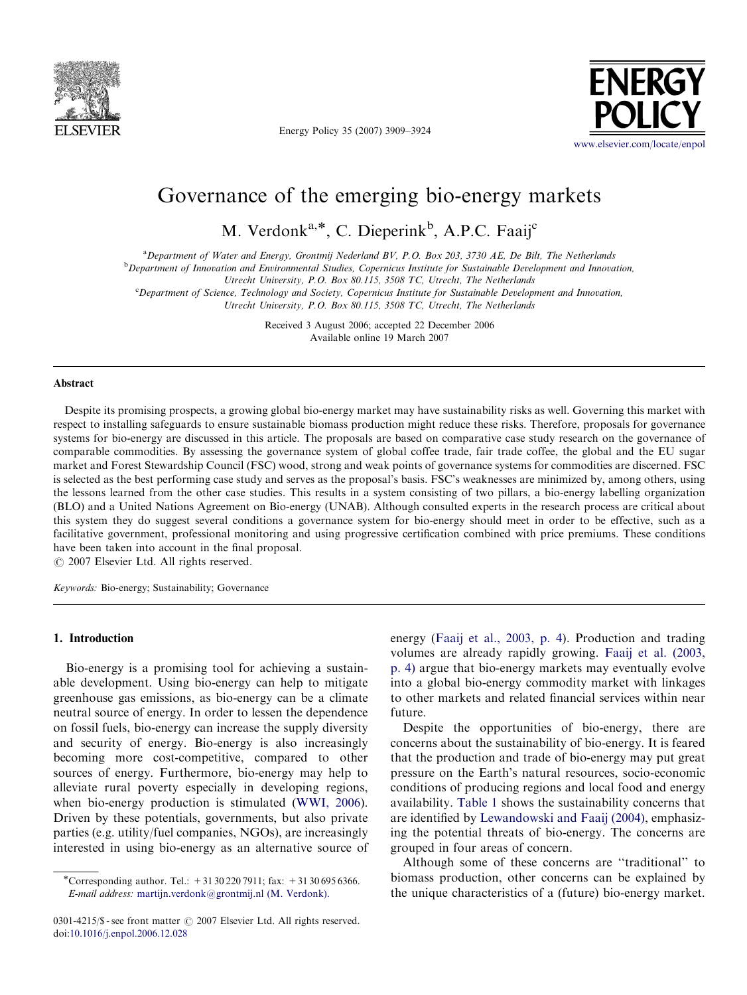

Energy Policy 35 (2007) 3909–3924



## Governance of the emerging bio-energy markets

M. Verdonk<sup>a,\*</sup>, C. Dieperink<sup>b</sup>, A.P.C. Faaij<sup>c</sup>

a Department of Water and Energy, Grontmij Nederland BV, P.O. Box 203, 3730 AE, De Bilt, The Netherlands

**b** Department of Innovation and Environmental Studies, Copernicus Institute for Sustainable Development and Innovation,

Utrecht University, P.O. Box 80.115, 3508 TC, Utrecht, The Netherlands

c Department of Science, Technology and Society, Copernicus Institute for Sustainable Development and Innovation,

Utrecht University, P.O. Box 80.115, 3508 TC, Utrecht, The Netherlands

Received 3 August 2006; accepted 22 December 2006 Available online 19 March 2007

## Abstract

Despite its promising prospects, a growing global bio-energy market may have sustainability risks as well. Governing this market with respect to installing safeguards to ensure sustainable biomass production might reduce these risks. Therefore, proposals for governance systems for bio-energy are discussed in this article. The proposals are based on comparative case study research on the governance of comparable commodities. By assessing the governance system of global coffee trade, fair trade coffee, the global and the EU sugar market and Forest Stewardship Council (FSC) wood, strong and weak points of governance systems for commodities are discerned. FSC is selected as the best performing case study and serves as the proposal's basis. FSC's weaknesses are minimized by, among others, using the lessons learned from the other case studies. This results in a system consisting of two pillars, a bio-energy labelling organization (BLO) and a United Nations Agreement on Bio-energy (UNAB). Although consulted experts in the research process are critical about this system they do suggest several conditions a governance system for bio-energy should meet in order to be effective, such as a facilitative government, professional monitoring and using progressive certification combined with price premiums. These conditions have been taken into account in the final proposal.

 $C$  2007 Elsevier Ltd. All rights reserved.

Keywords: Bio-energy; Sustainability; Governance

## 1. Introduction

Bio-energy is a promising tool for achieving a sustainable development. Using bio-energy can help to mitigate greenhouse gas emissions, as bio-energy can be a climate neutral source of energy. In order to lessen the dependence on fossil fuels, bio-energy can increase the supply diversity and security of energy. Bio-energy is also increasingly becoming more cost-competitive, compared to other sources of energy. Furthermore, bio-energy may help to alleviate rural poverty especially in developing regions, when bio-energy production is stimulated [\(WWI, 2006\)](#page--1-0). Driven by these potentials, governments, but also private parties (e.g. utility/fuel companies, NGOs), are increasingly interested in using bio-energy as an alternative source of energy [\(Faaij et al., 2003, p. 4](#page--1-0)). Production and trading volumes are already rapidly growing. [Faaij et al. \(2003,](#page--1-0) [p. 4\)](#page--1-0) argue that bio-energy markets may eventually evolve into a global bio-energy commodity market with linkages to other markets and related financial services within near future.

Despite the opportunities of bio-energy, there are concerns about the sustainability of bio-energy. It is feared that the production and trade of bio-energy may put great pressure on the Earth's natural resources, socio-economic conditions of producing regions and local food and energy availability. [Table 1](#page-1-0) shows the sustainability concerns that are identified by [Lewandowski and Faaij \(2004\)](#page--1-0), emphasizing the potential threats of bio-energy. The concerns are grouped in four areas of concern.

Although some of these concerns are ''traditional'' to biomass production, other concerns can be explained by the unique characteristics of a (future) bio-energy market.

<sup>\*</sup>Corresponding author. Tel.:  $+31302207911$ ; fax:  $+31306956366$ . E-mail address: [martijn.verdonk@grontmij.nl \(M. Verdonk\).](mailto:martijn.verdonk@grontmij.nl)

<sup>0301-4215/</sup> $\$  - see front matter  $\circ$  2007 Elsevier Ltd. All rights reserved. doi:[10.1016/j.enpol.2006.12.028](dx.doi.org/10.1016/j.enpol.2006.12.028)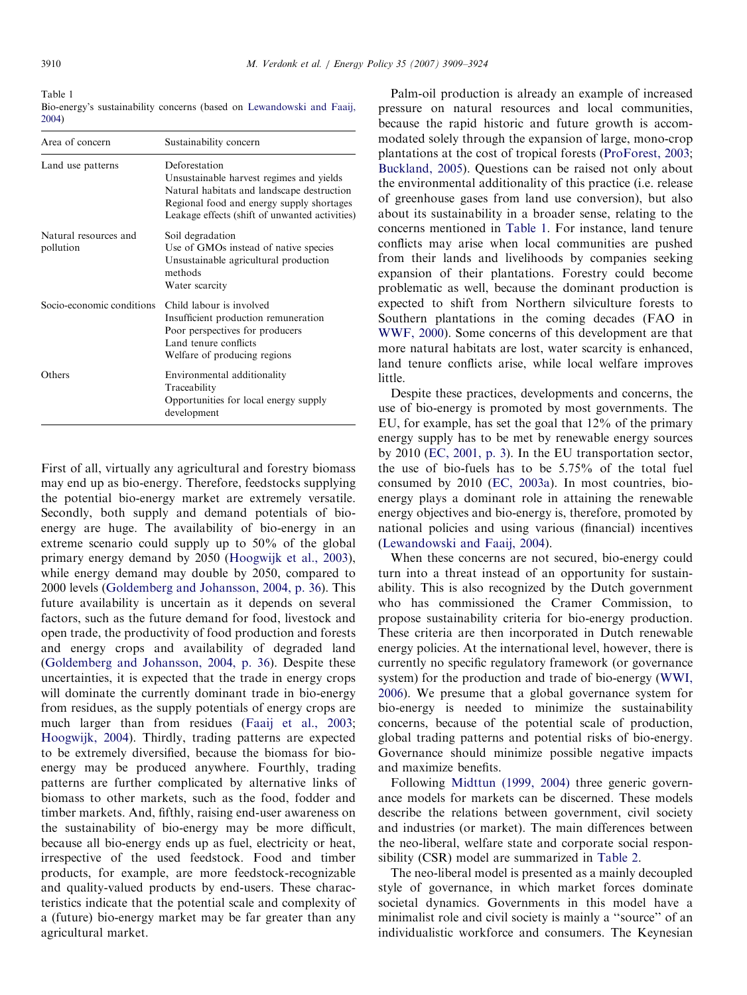<span id="page-1-0"></span>Table 1 Bio-energy's sustainability concerns (based on [Lewandowski and Faaij,](#page--1-0) [2004\)](#page--1-0)

| Area of concern                    | Sustainability concern                                                                                                                                                                                 |
|------------------------------------|--------------------------------------------------------------------------------------------------------------------------------------------------------------------------------------------------------|
| Land use patterns                  | Deforestation<br>Unsustainable harvest regimes and yields<br>Natural habitats and landscape destruction<br>Regional food and energy supply shortages<br>Leakage effects (shift of unwanted activities) |
| Natural resources and<br>pollution | Soil degradation<br>Use of GMOs instead of native species<br>Unsustainable agricultural production<br>methods<br>Water scarcity                                                                        |
| Socio-economic conditions          | Child labour is involved<br>Insufficient production remuneration<br>Poor perspectives for producers<br>Land tenure conflicts<br>Welfare of producing regions                                           |
| Others                             | Environmental additionality<br>Traceability<br>Opportunities for local energy supply<br>development                                                                                                    |

First of all, virtually any agricultural and forestry biomass may end up as bio-energy. Therefore, feedstocks supplying the potential bio-energy market are extremely versatile. Secondly, both supply and demand potentials of bioenergy are huge. The availability of bio-energy in an extreme scenario could supply up to 50% of the global primary energy demand by 2050 ([Hoogwijk et al., 2003\)](#page--1-0), while energy demand may double by 2050, compared to 2000 levels ([Goldemberg and Johansson, 2004, p. 36](#page--1-0)). This future availability is uncertain as it depends on several factors, such as the future demand for food, livestock and open trade, the productivity of food production and forests and energy crops and availability of degraded land [\(Goldemberg and Johansson, 2004, p. 36](#page--1-0)). Despite these uncertainties, it is expected that the trade in energy crops will dominate the currently dominant trade in bio-energy from residues, as the supply potentials of energy crops are much larger than from residues ([Faaij et al., 2003](#page--1-0); [Hoogwijk, 2004\)](#page--1-0). Thirdly, trading patterns are expected to be extremely diversified, because the biomass for bioenergy may be produced anywhere. Fourthly, trading patterns are further complicated by alternative links of biomass to other markets, such as the food, fodder and timber markets. And, fifthly, raising end-user awareness on the sustainability of bio-energy may be more difficult, because all bio-energy ends up as fuel, electricity or heat, irrespective of the used feedstock. Food and timber products, for example, are more feedstock-recognizable and quality-valued products by end-users. These characteristics indicate that the potential scale and complexity of a (future) bio-energy market may be far greater than any agricultural market.

Palm-oil production is already an example of increased pressure on natural resources and local communities, because the rapid historic and future growth is accommodated solely through the expansion of large, mono-crop plantations at the cost of tropical forests ([ProForest, 2003](#page--1-0); [Buckland, 2005](#page--1-0)). Questions can be raised not only about the environmental additionality of this practice (i.e. release of greenhouse gases from land use conversion), but also about its sustainability in a broader sense, relating to the concerns mentioned in Table 1. For instance, land tenure conflicts may arise when local communities are pushed from their lands and livelihoods by companies seeking expansion of their plantations. Forestry could become problematic as well, because the dominant production is expected to shift from Northern silviculture forests to Southern plantations in the coming decades (FAO in [WWF, 2000](#page--1-0)). Some concerns of this development are that more natural habitats are lost, water scarcity is enhanced, land tenure conflicts arise, while local welfare improves little.

Despite these practices, developments and concerns, the use of bio-energy is promoted by most governments. The EU, for example, has set the goal that 12% of the primary energy supply has to be met by renewable energy sources by 2010 ([EC, 2001, p. 3\)](#page--1-0). In the EU transportation sector, the use of bio-fuels has to be 5.75% of the total fuel consumed by 2010 ([EC, 2003a\)](#page--1-0). In most countries, bioenergy plays a dominant role in attaining the renewable energy objectives and bio-energy is, therefore, promoted by national policies and using various (financial) incentives [\(Lewandowski and Faaij, 2004\)](#page--1-0).

When these concerns are not secured, bio-energy could turn into a threat instead of an opportunity for sustainability. This is also recognized by the Dutch government who has commissioned the Cramer Commission, to propose sustainability criteria for bio-energy production. These criteria are then incorporated in Dutch renewable energy policies. At the international level, however, there is currently no specific regulatory framework (or governance system) for the production and trade of bio-energy [\(WWI,](#page--1-0) [2006\)](#page--1-0). We presume that a global governance system for bio-energy is needed to minimize the sustainability concerns, because of the potential scale of production, global trading patterns and potential risks of bio-energy. Governance should minimize possible negative impacts and maximize benefits.

Following [Midttun \(1999, 2004\)](#page--1-0) three generic governance models for markets can be discerned. These models describe the relations between government, civil society and industries (or market). The main differences between the neo-liberal, welfare state and corporate social responsibility (CSR) model are summarized in [Table 2.](#page--1-0)

The neo-liberal model is presented as a mainly decoupled style of governance, in which market forces dominate societal dynamics. Governments in this model have a minimalist role and civil society is mainly a ''source'' of an individualistic workforce and consumers. The Keynesian